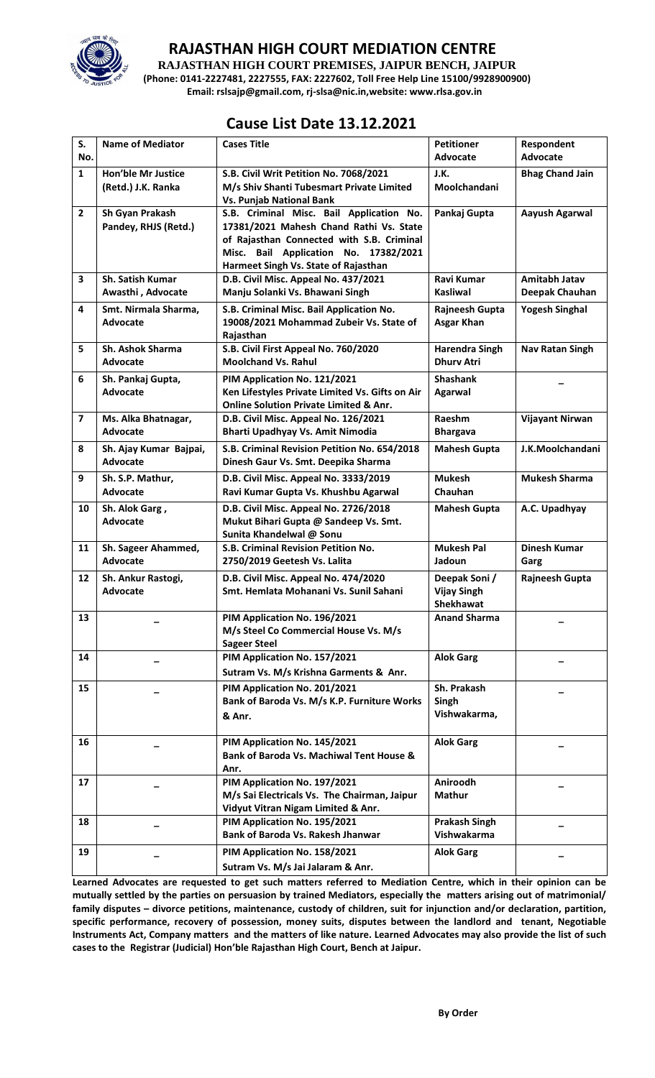

## **RAJASTHAN HIGH COURT MEDIATION CENTRE RAJASTHAN HIGH COURT PREMISES, JAIPUR BENCH, JAIPUR**

**(Phone: 0141-2227481, 2227555, FAX: 2227602, Toll Free Help Line 15100/9928900900)**

**Email: rslsajp@gmail.com, rj-slsa@nic.in,website: www.rlsa.gov.in**

## **Cause List Date 13.12.2021**

| S.<br>No.      | <b>Name of Mediator</b> | <b>Cases Title</b>                                                | <b>Petitioner</b><br><b>Advocate</b> | Respondent<br><b>Advocate</b> |
|----------------|-------------------------|-------------------------------------------------------------------|--------------------------------------|-------------------------------|
|                |                         |                                                                   |                                      |                               |
| $\mathbf{1}$   | Hon'ble Mr Justice      | S.B. Civil Writ Petition No. 7068/2021                            | J.K.                                 | <b>Bhag Chand Jain</b>        |
|                | (Retd.) J.K. Ranka      | M/s Shiv Shanti Tubesmart Private Limited                         | Moolchandani                         |                               |
|                |                         | <b>Vs. Punjab National Bank</b>                                   |                                      |                               |
| $\mathbf{2}$   | Sh Gyan Prakash         | S.B. Criminal Misc. Bail Application No.                          | Pankaj Gupta                         | Aayush Agarwal                |
|                | Pandey, RHJS (Retd.)    | 17381/2021 Mahesh Chand Rathi Vs. State                           |                                      |                               |
|                |                         | of Rajasthan Connected with S.B. Criminal                         |                                      |                               |
|                |                         | Misc. Bail Application No. 17382/2021                             |                                      |                               |
|                |                         | Harmeet Singh Vs. State of Rajasthan                              |                                      |                               |
| 3              | Sh. Satish Kumar        | D.B. Civil Misc. Appeal No. 437/2021                              | <b>Ravi Kumar</b>                    | <b>Amitabh Jatav</b>          |
|                | Awasthi, Advocate       | Manju Solanki Vs. Bhawani Singh                                   | <b>Kasliwal</b>                      | Deepak Chauhan                |
| 4              |                         |                                                                   |                                      |                               |
|                | Smt. Nirmala Sharma,    | S.B. Criminal Misc. Bail Application No.                          | Rajneesh Gupta                       | <b>Yogesh Singhal</b>         |
|                | Advocate                | 19008/2021 Mohammad Zubeir Vs. State of                           | <b>Asgar Khan</b>                    |                               |
|                |                         | Rajasthan                                                         |                                      |                               |
| 5              | Sh. Ashok Sharma        | S.B. Civil First Appeal No. 760/2020                              | <b>Harendra Singh</b>                | <b>Nav Ratan Singh</b>        |
|                | Advocate                | <b>Moolchand Vs. Rahul</b>                                        | <b>Dhury Atri</b>                    |                               |
| 6              | Sh. Pankaj Gupta,       | PIM Application No. 121/2021                                      | <b>Shashank</b>                      |                               |
|                | Advocate                | Ken Lifestyles Private Limited Vs. Gifts on Air                   | Agarwal                              |                               |
|                |                         | <b>Online Solution Private Limited &amp; Anr.</b>                 |                                      |                               |
| $\overline{ }$ | Ms. Alka Bhatnagar,     | D.B. Civil Misc. Appeal No. 126/2021                              | Raeshm                               | Vijayant Nirwan               |
|                | Advocate                | Bharti Upadhyay Vs. Amit Nimodia                                  | <b>Bhargava</b>                      |                               |
|                |                         |                                                                   |                                      |                               |
| 8              | Sh. Ajay Kumar Bajpai,  | S.B. Criminal Revision Petition No. 654/2018                      | <b>Mahesh Gupta</b>                  | J.K.Moolchandani              |
|                | Advocate                | Dinesh Gaur Vs. Smt. Deepika Sharma                               |                                      |                               |
| 9              | Sh. S.P. Mathur,        | D.B. Civil Misc. Appeal No. 3333/2019                             | <b>Mukesh</b>                        | <b>Mukesh Sharma</b>          |
|                | Advocate                | Ravi Kumar Gupta Vs. Khushbu Agarwal                              | Chauhan                              |                               |
| 10             | Sh. Alok Garg,          | D.B. Civil Misc. Appeal No. 2726/2018                             | <b>Mahesh Gupta</b>                  | A.C. Upadhyay                 |
|                | Advocate                | Mukut Bihari Gupta @ Sandeep Vs. Smt.                             |                                      |                               |
|                |                         | Sunita Khandelwal @ Sonu                                          |                                      |                               |
| 11             | Sh. Sageer Ahammed,     | S.B. Criminal Revision Petition No.                               | <b>Mukesh Pal</b>                    | <b>Dinesh Kumar</b>           |
|                | Advocate                | 2750/2019 Geetesh Vs. Lalita                                      | Jadoun                               |                               |
|                |                         |                                                                   |                                      | Garg                          |
| 12             | Sh. Ankur Rastogi,      | D.B. Civil Misc. Appeal No. 474/2020                              | Deepak Soni /                        | <b>Rajneesh Gupta</b>         |
|                | Advocate                | Smt. Hemlata Mohanani Vs. Sunil Sahani                            | <b>Vijay Singh</b>                   |                               |
|                |                         |                                                                   | <b>Shekhawat</b>                     |                               |
| 13             |                         | PIM Application No. 196/2021                                      | <b>Anand Sharma</b>                  |                               |
|                |                         | M/s Steel Co Commercial House Vs. M/s                             |                                      |                               |
|                |                         | <b>Sageer Steel</b>                                               |                                      |                               |
| 14             |                         | PIM Application No. 157/2021                                      | <b>Alok Garg</b>                     |                               |
|                |                         | Sutram Vs. M/s Krishna Garments & Anr.                            |                                      |                               |
|                |                         |                                                                   |                                      |                               |
| 15             |                         | PIM Application No. 201/2021                                      | Sh. Prakash                          |                               |
|                |                         | Bank of Baroda Vs. M/s K.P. Furniture Works                       | Singh                                |                               |
|                |                         | & Anr.                                                            | Vishwakarma,                         |                               |
|                |                         |                                                                   |                                      |                               |
| 16             |                         | PIM Application No. 145/2021                                      | <b>Alok Garg</b>                     |                               |
|                |                         | Bank of Baroda Vs. Machiwal Tent House &                          |                                      |                               |
|                |                         | Anr.                                                              |                                      |                               |
| 17             |                         | PIM Application No. 197/2021                                      | Aniroodh                             |                               |
|                |                         | M/s Sai Electricals Vs. The Chairman, Jaipur                      | <b>Mathur</b>                        |                               |
|                |                         | Vidyut Vitran Nigam Limited & Anr.                                |                                      |                               |
| 18             |                         | PIM Application No. 195/2021                                      | <b>Prakash Singh</b>                 |                               |
|                |                         | <b>Bank of Baroda Vs. Rakesh Jhanwar</b>                          | Vishwakarma                          |                               |
|                |                         |                                                                   |                                      |                               |
|                |                         |                                                                   |                                      |                               |
| 19             |                         | PIM Application No. 158/2021<br>Sutram Vs. M/s Jai Jalaram & Anr. | <b>Alok Garg</b>                     |                               |

**Learned Advocates are requested to get such matters referred to Mediation Centre, which in their opinion can be mutually settled by the parties on persuasion by trained Mediators, especially the matters arising out of matrimonial/ family disputes – divorce petitions, maintenance, custody of children, suit for injunction and/or declaration, partition, specific performance, recovery of possession, money suits, disputes between the landlord and tenant, Negotiable Instruments Act, Company matters and the matters of like nature. Learned Advocates may also provide the list of such cases to the Registrar (Judicial) Hon'ble Rajasthan High Court, Bench at Jaipur.**